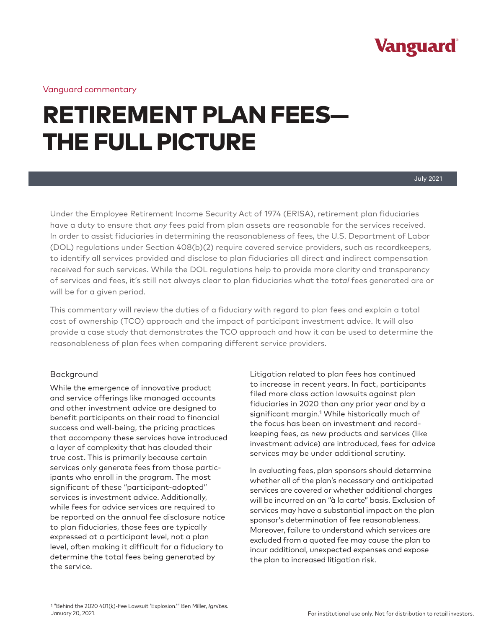

Vanguard commentary

# RETIREMENT PLAN FEES— THE FULL PICTURE

Under the Employee Retirement Income Security Act of 1974 (ERISA), retirement plan fiduciaries have a duty to ensure that *any* fees paid from plan assets are reasonable for the services received. In order to assist fiduciaries in determining the reasonableness of fees, the U.S. Department of Labor (DOL) regulations under Section 408(b)(2) require covered service providers, such as recordkeepers, to identify all services provided and disclose to plan fiduciaries all direct and indirect compensation received for such services. While the DOL regulations help to provide more clarity and transparency of services and fees, it's still not always clear to plan fiduciaries what the *total* fees generated are or will be for a given period.

This commentary will review the duties of a fiduciary with regard to plan fees and explain a total cost of ownership (TCO) approach and the impact of participant investment advice. It will also provide a case study that demonstrates the TCO approach and how it can be used to determine the reasonableness of plan fees when comparing different service providers.

#### Background

While the emergence of innovative product and service offerings like managed accounts and other investment advice are designed to benefit participants on their road to financial success and well-being, the pricing practices that accompany these services have introduced a layer of complexity that has clouded their true cost. This is primarily because certain services only generate fees from those participants who enroll in the program. The most significant of these "participant-adopted" services is investment advice. Additionally, while fees for advice services are required to be reported on the annual fee disclosure notice to plan fiduciaries, those fees are typically expressed at a participant level, not a plan level, often making it difficult for a fiduciary to determine the total fees being generated by the service.

Litigation related to plan fees has continued to increase in recent years. In fact, participants filed more class action lawsuits against plan fiduciaries in 2020 than any prior year and by a significant margin.1 While historically much of the focus has been on investment and recordkeeping fees, as new products and services (like investment advice) are introduced, fees for advice services may be under additional scrutiny.

In evaluating fees, plan sponsors should determine whether all of the plan's necessary and anticipated services are covered or whether additional charges will be incurred on an "à la carte" basis. Exclusion of services may have a substantial impact on the plan sponsor's determination of fee reasonableness. Moreover, failure to understand which services are excluded from a quoted fee may cause the plan to incur additional, unexpected expenses and expose the plan to increased litigation risk.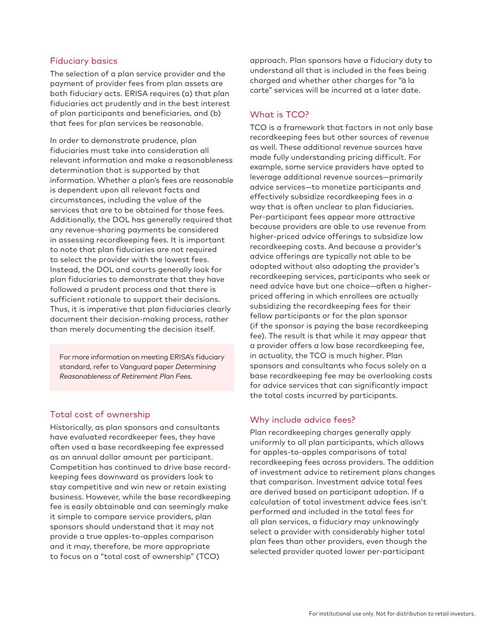#### Fiduciary basics

The selection of a plan service provider and the payment of provider fees from plan assets are both fiduciary acts. ERISA requires (a) that plan fiduciaries act prudently and in the best interest of plan participants and beneficiaries, and (b) that fees for plan services be reasonable.

In order to demonstrate prudence, plan fiduciaries must take into consideration all relevant information and make a reasonableness determination that is supported by that information. Whether a plan's fees are reasonable is dependent upon all relevant facts and circumstances, including the value of the services that are to be obtained for those fees. Additionally, the DOL has generally required that any revenue-sharing payments be considered in assessing recordkeeping fees. It is important to note that plan fiduciaries are not required to select the provider with the lowest fees. Instead, the DOL and courts generally look for plan fiduciaries to demonstrate that they have followed a prudent process and that there is sufficient rationale to support their decisions. Thus, it is imperative that plan fiduciaries clearly document their decision-making process, rather than merely documenting the decision itself.

For more information on meeting ERISA's fiduciary standard, refer to Vanguard paper *Determining Reasonableness of Retirement Plan Fees*.

#### Total cost of ownership

Historically, as plan sponsors and consultants have evaluated recordkeeper fees, they have often used a base recordkeeping fee expressed as an annual dollar amount per participant. Competition has continued to drive base recordkeeping fees downward as providers look to stay competitive and win new or retain existing business. However, while the base recordkeeping fee is easily obtainable and can seemingly make it simple to compare service providers, plan sponsors should understand that it may not provide a true apples-to-apples comparison and it may, therefore, be more appropriate to focus on a "total cost of ownership" (TCO)

approach. Plan sponsors have a fiduciary duty to understand all that is included in the fees being charged and whether other charges for "à la carte" services will be incurred at a later date.

#### What is TCO?

TCO is a framework that factors in not only base recordkeeping fees but other sources of revenue as well. These additional revenue sources have made fully understanding pricing difficult. For example, some service providers have opted to leverage additional revenue sources—primarily advice services—to monetize participants and effectively subsidize recordkeeping fees in a way that is often unclear to plan fiduciaries. Per-participant fees appear more attractive because providers are able to use revenue from higher-priced advice offerings to subsidize low recordkeeping costs. And because a provider's advice offerings are typically not able to be adopted without also adopting the provider's recordkeeping services, participants who seek or need advice have but one choice—often a higherpriced offering in which enrollees are actually subsidizing the recordkeeping fees for their fellow participants or for the plan sponsor (if the sponsor is paying the base recordkeeping fee). The result is that while it may appear that a provider offers a low base recordkeeping fee, in actuality, the TCO is much higher. Plan sponsors and consultants who focus solely on a base recordkeeping fee may be overlooking costs for advice services that can significantly impact the total costs incurred by participants.

#### Why include advice fees?

Plan recordkeeping charges generally apply uniformly to all plan participants, which allows for apples-to-apples comparisons of total recordkeeping fees across providers. The addition of investment advice to retirement plans changes that comparison. Investment advice total fees are derived based on participant adoption. If a calculation of total investment advice fees isn't performed and included in the total fees for all plan services, a fiduciary may unknowingly select a provider with considerably higher total plan fees than other providers, even though the selected provider quoted lower per-participant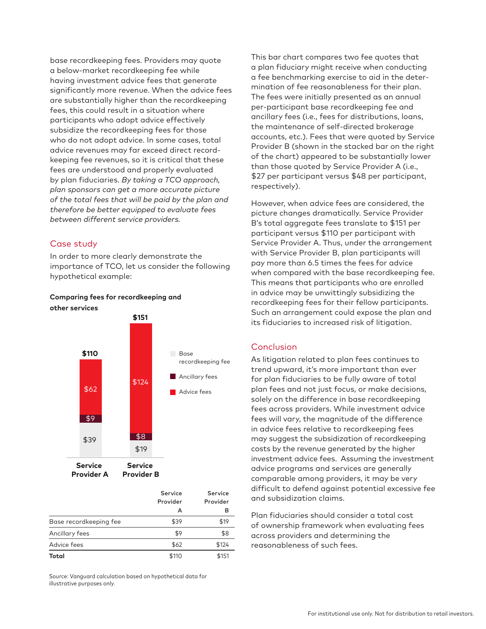base recordkeeping fees. Providers may quote a below-market recordkeeping fee while having investment advice fees that generate significantly more revenue. When the advice fees are substantially higher than the recordkeeping fees, this could result in a situation where participants who adopt advice effectively subsidize the recordkeeping fees for those who do not adopt advice. In some cases, total advice revenues may far exceed direct recordkeeping fee revenues, so it is critical that these fees are understood and properly evaluated by plan fiduciaries. *By taking a TCO approach, plan sponsors can get a more accurate picture of the total fees that will be paid by the plan and therefore be better equipped to evaluate fees between different service providers.*

### Case study

In order to more clearly demonstrate the importance of TCO, let us consider the following hypothetical example:

#### **Comparing fees for recordkeeping and other services**



|                        | Service<br>Provider<br>А | Service<br>Provider<br>в |
|------------------------|--------------------------|--------------------------|
|                        |                          |                          |
|                        |                          |                          |
| Base recordkeeping fee | \$39                     | \$19                     |
| Ancillary fees         | \$9                      | \$8                      |
| Advice fees            | \$62                     | \$124                    |
| Total                  | \$110                    | \$151                    |

Source: Vanguard calculation based on hypothetical data for illustrative purposes only.

This bar chart compares two fee quotes that a plan fiduciary might receive when conducting a fee benchmarking exercise to aid in the determination of fee reasonableness for their plan. The fees were initially presented as an annual per-participant base recordkeeping fee and ancillary fees (i.e., fees for distributions, loans, the maintenance of self-directed brokerage accounts, etc.). Fees that were quoted by Service Provider B (shown in the stacked bar on the right of the chart) appeared to be substantially lower than those quoted by Service Provider A (i.e., \$27 per participant versus \$48 per participant, respectively).

However, when advice fees are considered, the picture changes dramatically. Service Provider B's total aggregate fees translate to \$151 per participant versus \$110 per participant with Service Provider A. Thus, under the arrangement with Service Provider B, plan participants will pay more than 6.5 times the fees for advice when compared with the base recordkeeping fee. This means that participants who are enrolled in advice may be unwittingly subsidizing the recordkeeping fees for their fellow participants. Such an arrangement could expose the plan and its fiduciaries to increased risk of litigation.

#### Conclusion

As litigation related to plan fees continues to trend upward, it's more important than ever for plan fiduciaries to be fully aware of total plan fees and not just focus, or make decisions, solely on the difference in base recordkeeping fees across providers. While investment advice fees will vary, the magnitude of the difference in advice fees relative to recordkeeping fees may suggest the subsidization of recordkeeping costs by the revenue generated by the higher investment advice fees. Assuming the investment advice programs and services are generally comparable among providers, it may be very difficult to defend against potential excessive fee and subsidization claims.

Plan fiduciaries should consider a total cost of ownership framework when evaluating fees across providers and determining the reasonableness of such fees.